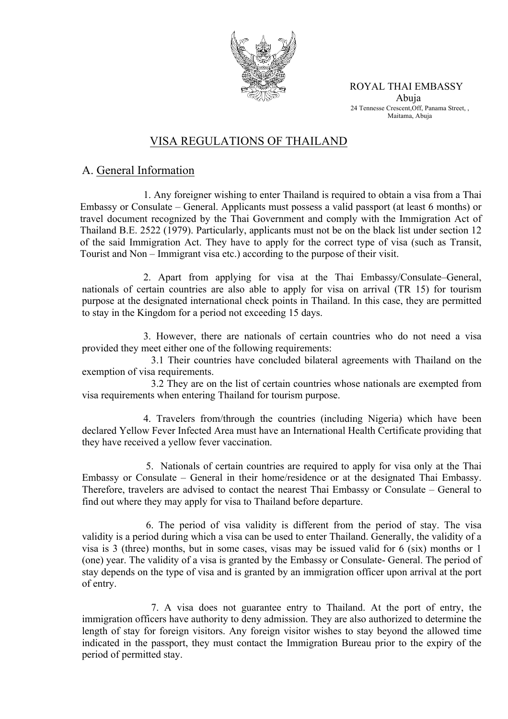

ROYAL THAI EMBASSY Abuja 24 Tennesse Crescent,Off, Panama Street, , Maitama, Abuja

# VISA REGULATIONS OF THAILAND

## A. General Information

1. Any foreigner wishing to enter Thailand is required to obtain a visa from a Thai Embassy or Consulate – General. Applicants must possess a valid passport (at least 6 months) or travel document recognized by the Thai Government and comply with the Immigration Act of Thailand B.E. 2522 (1979). Particularly, applicants must not be on the black list under section 12 of the said Immigration Act. They have to apply for the correct type of visa (such as Transit, Tourist and Non – Immigrant visa etc.) according to the purpose of their visit.

2. Apart from applying for visa at the Thai Embassy/Consulate–General, nationals of certain countries are also able to apply for visa on arrival (TR 15) for tourism purpose at the designated international check points in Thailand. In this case, they are permitted to stay in the Kingdom for a period not exceeding 15 days.

3. However, there are nationals of certain countries who do not need a visa provided they meet either one of the following requirements:

 3.1 Their countries have concluded bilateral agreements with Thailand on the exemption of visa requirements.

 3.2 They are on the list of certain countries whose nationals are exempted from visa requirements when entering Thailand for tourism purpose.

 4. Travelers from/through the countries (including Nigeria) which have been declared Yellow Fever Infected Area must have an International Health Certificate providing that they have received a yellow fever vaccination.

5. Nationals of certain countries are required to apply for visa only at the Thai Embassy or Consulate – General in their home/residence or at the designated Thai Embassy. Therefore, travelers are advised to contact the nearest Thai Embassy or Consulate – General to find out where they may apply for visa to Thailand before departure.

6. The period of visa validity is different from the period of stay. The visa validity is a period during which a visa can be used to enter Thailand. Generally, the validity of a visa is 3 (three) months, but in some cases, visas may be issued valid for 6 (six) months or 1 (one) year. The validity of a visa is granted by the Embassy or Consulate- General. The period of stay depends on the type of visa and is granted by an immigration officer upon arrival at the port of entry.

 7. A visa does not guarantee entry to Thailand. At the port of entry, the immigration officers have authority to deny admission. They are also authorized to determine the length of stay for foreign visitors. Any foreign visitor wishes to stay beyond the allowed time indicated in the passport, they must contact the Immigration Bureau prior to the expiry of the period of permitted stay.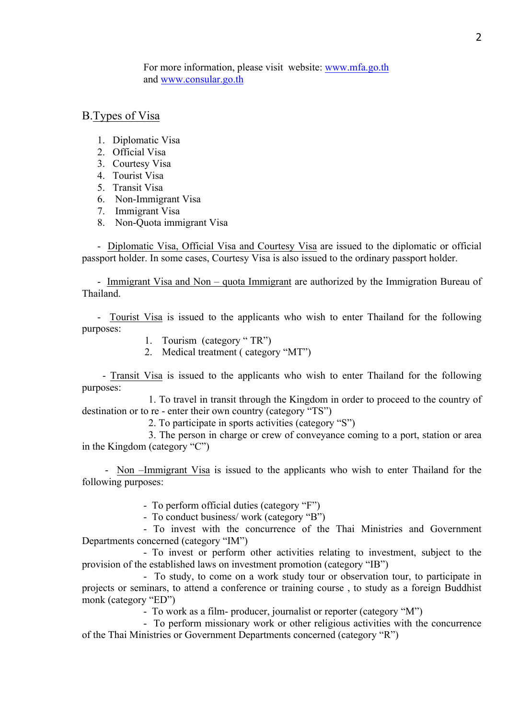For more information, please visit website: www.mfa.go.th and www.consular.go.th

#### B.Types of Visa

- 1. Diplomatic Visa
- 2. Official Visa
- 3. Courtesy Visa
- 4. Tourist Visa
- 5. Transit Visa
- 6. Non-Immigrant Visa
- 7. Immigrant Visa
- 8. Non-Quota immigrant Visa

- Diplomatic Visa, Official Visa and Courtesy Visa are issued to the diplomatic or official passport holder. In some cases, Courtesy Visa is also issued to the ordinary passport holder.

 - Immigrant Visa and Non – quota Immigrant are authorized by the Immigration Bureau of Thailand.

- Tourist Visa is issued to the applicants who wish to enter Thailand for the following purposes:

- 1. Tourism (category " TR")
- 2. Medical treatment ( category "MT")

- Transit Visa is issued to the applicants who wish to enter Thailand for the following purposes:

 1. To travel in transit through the Kingdom in order to proceed to the country of destination or to re - enter their own country (category "TS")

2. To participate in sports activities (category "S")

 3. The person in charge or crew of conveyance coming to a port, station or area in the Kingdom (category "C")

 - Non –Immigrant Visa is issued to the applicants who wish to enter Thailand for the following purposes:

- To perform official duties (category "F")

- To conduct business/ work (category "B")

- To invest with the concurrence of the Thai Ministries and Government Departments concerned (category "IM")

 - To invest or perform other activities relating to investment, subject to the provision of the established laws on investment promotion (category "IB")

 - To study, to come on a work study tour or observation tour, to participate in projects or seminars, to attend a conference or training course , to study as a foreign Buddhist monk (category "ED")

- To work as a film- producer, journalist or reporter (category "M")

 - To perform missionary work or other religious activities with the concurrence of the Thai Ministries or Government Departments concerned (category "R")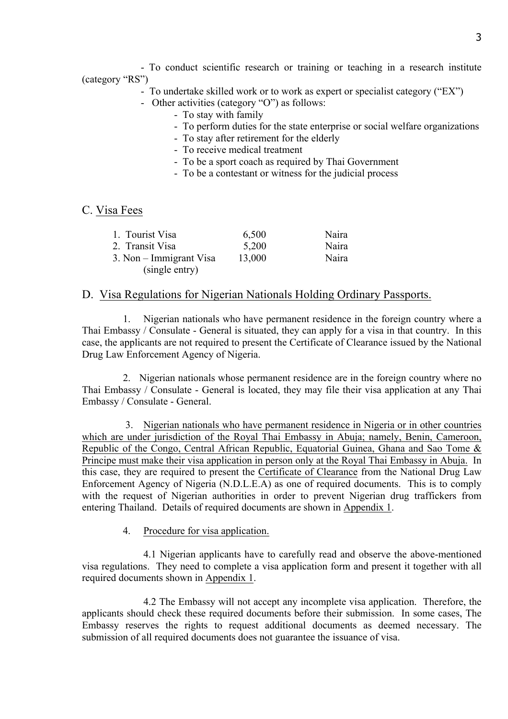- To conduct scientific research or training or teaching in a research institute (category "RS")

- To undertake skilled work or to work as expert or specialist category ("EX")
- Other activities (category "O") as follows:
	- To stay with family
	- To perform duties for the state enterprise or social welfare organizations
	- To stay after retirement for the elderly
	- To receive medical treatment
	- To be a sport coach as required by Thai Government
	- To be a contestant or witness for the judicial process

#### C. Visa Fees

| 1. Tourist Visa         | 6,500  | Naira |
|-------------------------|--------|-------|
| 2. Transit Visa         | 5,200  | Naira |
| 3. Non – Immigrant Visa | 13,000 | Naira |
| (single entry)          |        |       |

#### D. Visa Regulations for Nigerian Nationals Holding Ordinary Passports.

 1. Nigerian nationals who have permanent residence in the foreign country where a Thai Embassy / Consulate - General is situated, they can apply for a visa in that country. In this case, the applicants are not required to present the Certificate of Clearance issued by the National Drug Law Enforcement Agency of Nigeria.

 2. Nigerian nationals whose permanent residence are in the foreign country where no Thai Embassy / Consulate - General is located, they may file their visa application at any Thai Embassy / Consulate - General.

 3. Nigerian nationals who have permanent residence in Nigeria or in other countries which are under jurisdiction of the Royal Thai Embassy in Abuja; namely, Benin, Cameroon, Republic of the Congo, Central African Republic, Equatorial Guinea, Ghana and Sao Tome & Principe must make their visa application in person only at the Royal Thai Embassy in Abuja. In this case, they are required to present the Certificate of Clearance from the National Drug Law Enforcement Agency of Nigeria (N.D.L.E.A) as one of required documents. This is to comply with the request of Nigerian authorities in order to prevent Nigerian drug traffickers from entering Thailand. Details of required documents are shown in Appendix 1.

4. Procedure for visa application.

4.1 Nigerian applicants have to carefully read and observe the above-mentioned visa regulations. They need to complete a visa application form and present it together with all required documents shown in Appendix 1.

 4.2 The Embassy will not accept any incomplete visa application. Therefore, the applicants should check these required documents before their submission. In some cases, The Embassy reserves the rights to request additional documents as deemed necessary. The submission of all required documents does not guarantee the issuance of visa.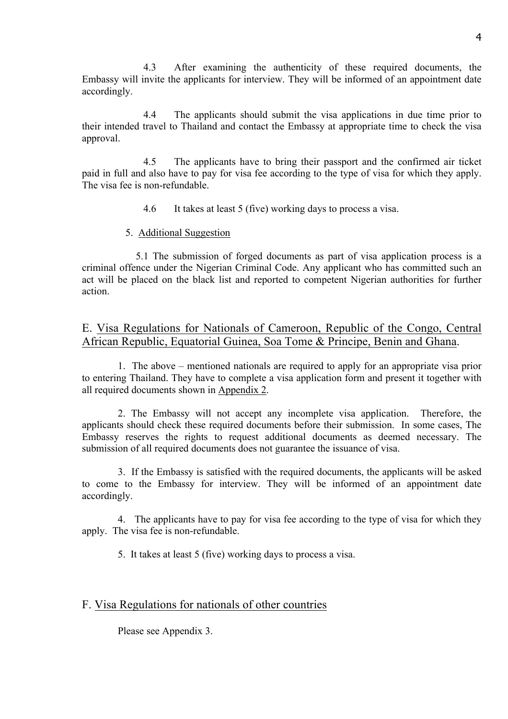4.3 After examining the authenticity of these required documents, the Embassy will invite the applicants for interview. They will be informed of an appointment date accordingly.

4.4 The applicants should submit the visa applications in due time prior to their intended travel to Thailand and contact the Embassy at appropriate time to check the visa approval.

4.5 The applicants have to bring their passport and the confirmed air ticket paid in full and also have to pay for visa fee according to the type of visa for which they apply. The visa fee is non-refundable.

4.6 It takes at least 5 (five) working days to process a visa.

#### 5. Additional Suggestion

 5.1 The submission of forged documents as part of visa application process is a criminal offence under the Nigerian Criminal Code. Any applicant who has committed such an act will be placed on the black list and reported to competent Nigerian authorities for further action.

E. Visa Regulations for Nationals of Cameroon, Republic of the Congo, Central African Republic, Equatorial Guinea, Soa Tome & Principe, Benin and Ghana.

1. The above – mentioned nationals are required to apply for an appropriate visa prior to entering Thailand. They have to complete a visa application form and present it together with all required documents shown in Appendix 2.

2. The Embassy will not accept any incomplete visa application. Therefore, the applicants should check these required documents before their submission. In some cases, The Embassy reserves the rights to request additional documents as deemed necessary. The submission of all required documents does not guarantee the issuance of visa.

3. If the Embassy is satisfied with the required documents, the applicants will be asked to come to the Embassy for interview. They will be informed of an appointment date accordingly.

4. The applicants have to pay for visa fee according to the type of visa for which they apply. The visa fee is non-refundable.

5. It takes at least 5 (five) working days to process a visa.

### F. Visa Regulations for nationals of other countries

Please see Appendix 3.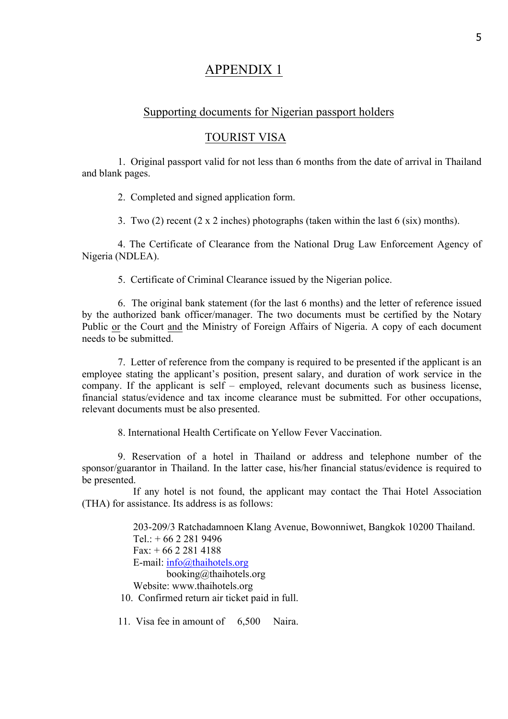# APPENDIX 1

### Supporting documents for Nigerian passport holders

#### TOURIST VISA

1. Original passport valid for not less than 6 months from the date of arrival in Thailand and blank pages.

2. Completed and signed application form.

3. Two (2) recent (2 x 2 inches) photographs (taken within the last 6 (six) months).

4. The Certificate of Clearance from the National Drug Law Enforcement Agency of Nigeria (NDLEA).

5. Certificate of Criminal Clearance issued by the Nigerian police.

6. The original bank statement (for the last 6 months) and the letter of reference issued by the authorized bank officer/manager. The two documents must be certified by the Notary Public or the Court and the Ministry of Foreign Affairs of Nigeria. A copy of each document needs to be submitted.

7. Letter of reference from the company is required to be presented if the applicant is an employee stating the applicant's position, present salary, and duration of work service in the company. If the applicant is self – employed, relevant documents such as business license, financial status/evidence and tax income clearance must be submitted. For other occupations, relevant documents must be also presented.

8. International Health Certificate on Yellow Fever Vaccination.

 9. Reservation of a hotel in Thailand or address and telephone number of the sponsor/guarantor in Thailand. In the latter case, his/her financial status/evidence is required to be presented.

 If any hotel is not found, the applicant may contact the Thai Hotel Association (THA) for assistance. Its address is as follows:

 203-209/3 Ratchadamnoen Klang Avenue, Bowonniwet, Bangkok 10200 Thailand.  $Tel + 66 2 281 9496$  $Fax: + 6622814188$  E-mail: info@thaihotels.org booking@thaihotels.org Website: www.thaihotels.org 10. Confirmed return air ticket paid in full.

11. Visa fee in amount of 6,500 Naira.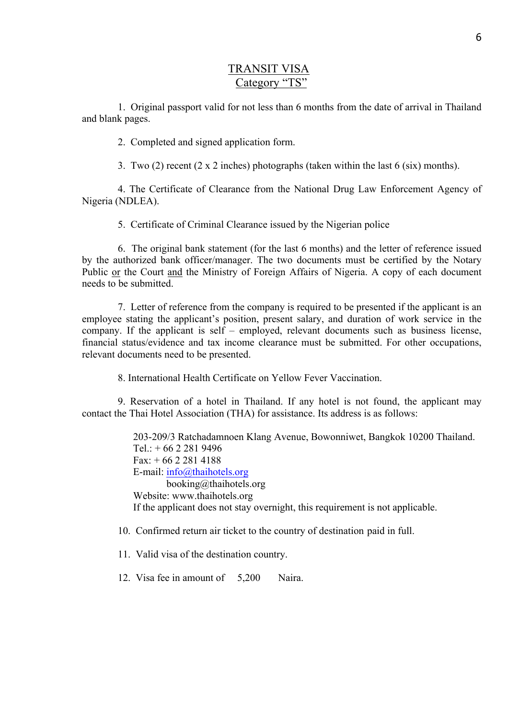## TRANSIT VISA Category "TS"

1. Original passport valid for not less than 6 months from the date of arrival in Thailand and blank pages.

2. Completed and signed application form.

3. Two (2) recent (2 x 2 inches) photographs (taken within the last 6 (six) months).

4. The Certificate of Clearance from the National Drug Law Enforcement Agency of Nigeria (NDLEA).

5. Certificate of Criminal Clearance issued by the Nigerian police

6. The original bank statement (for the last 6 months) and the letter of reference issued by the authorized bank officer/manager. The two documents must be certified by the Notary Public or the Court and the Ministry of Foreign Affairs of Nigeria. A copy of each document needs to be submitted.

7. Letter of reference from the company is required to be presented if the applicant is an employee stating the applicant's position, present salary, and duration of work service in the company. If the applicant is self – employed, relevant documents such as business license, financial status/evidence and tax income clearance must be submitted. For other occupations, relevant documents need to be presented.

8. International Health Certificate on Yellow Fever Vaccination.

 9. Reservation of a hotel in Thailand. If any hotel is not found, the applicant may contact the Thai Hotel Association (THA) for assistance. Its address is as follows:

> 203-209/3 Ratchadamnoen Klang Avenue, Bowonniwet, Bangkok 10200 Thailand.  $Tel: + 66 2 281 9496$  $Fax + 6622814188$  E-mail: info@thaihotels.org booking@thaihotels.org Website: www.thaihotels.org If the applicant does not stay overnight, this requirement is not applicable.

- 10. Confirmed return air ticket to the country of destination paid in full.
- 11. Valid visa of the destination country.
- 12. Visa fee in amount of 5,200 Naira.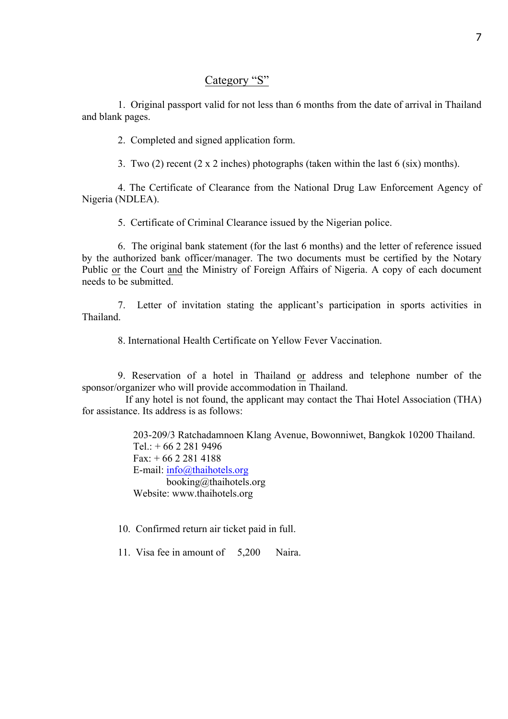### Category "S"

1. Original passport valid for not less than 6 months from the date of arrival in Thailand and blank pages.

2. Completed and signed application form.

3. Two (2) recent (2 x 2 inches) photographs (taken within the last 6 (six) months).

4. The Certificate of Clearance from the National Drug Law Enforcement Agency of Nigeria (NDLEA).

5. Certificate of Criminal Clearance issued by the Nigerian police.

6. The original bank statement (for the last 6 months) and the letter of reference issued by the authorized bank officer/manager. The two documents must be certified by the Notary Public or the Court and the Ministry of Foreign Affairs of Nigeria. A copy of each document needs to be submitted.

7. Letter of invitation stating the applicant's participation in sports activities in Thailand.

8. International Health Certificate on Yellow Fever Vaccination.

 9. Reservation of a hotel in Thailand or address and telephone number of the sponsor/organizer who will provide accommodation in Thailand.

 If any hotel is not found, the applicant may contact the Thai Hotel Association (THA) for assistance. Its address is as follows:

> 203-209/3 Ratchadamnoen Klang Avenue, Bowonniwet, Bangkok 10200 Thailand. Tel.:  $+ 6622819496$  $Fax + 6622814188$  E-mail: info@thaihotels.org booking@thaihotels.org Website: www.thaihotels.org

10. Confirmed return air ticket paid in full.

11. Visa fee in amount of 5,200 Naira.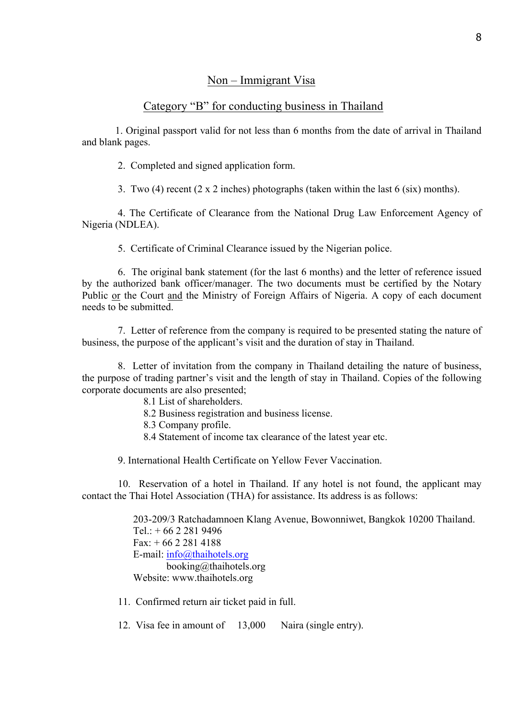### Non – Immigrant Visa

### Category "B" for conducting business in Thailand

 1. Original passport valid for not less than 6 months from the date of arrival in Thailand and blank pages.

2. Completed and signed application form.

3. Two (4) recent (2 x 2 inches) photographs (taken within the last 6 (six) months).

4. The Certificate of Clearance from the National Drug Law Enforcement Agency of Nigeria (NDLEA).

5. Certificate of Criminal Clearance issued by the Nigerian police.

6. The original bank statement (for the last 6 months) and the letter of reference issued by the authorized bank officer/manager. The two documents must be certified by the Notary Public or the Court and the Ministry of Foreign Affairs of Nigeria. A copy of each document needs to be submitted.

7. Letter of reference from the company is required to be presented stating the nature of business, the purpose of the applicant's visit and the duration of stay in Thailand.

8. Letter of invitation from the company in Thailand detailing the nature of business, the purpose of trading partner's visit and the length of stay in Thailand. Copies of the following corporate documents are also presented;

8.1 List of shareholders.

- 8.2 Business registration and business license.
- 8.3 Company profile.
- 8.4 Statement of income tax clearance of the latest year etc.

9. International Health Certificate on Yellow Fever Vaccination.

 10. Reservation of a hotel in Thailand. If any hotel is not found, the applicant may contact the Thai Hotel Association (THA) for assistance. Its address is as follows:

> 203-209/3 Ratchadamnoen Klang Avenue, Bowonniwet, Bangkok 10200 Thailand.  $Tel: + 66 2 281 9496$  $Fax: + 6622814188$  E-mail: info@thaihotels.org booking@thaihotels.org Website: www.thaihotels.org

11. Confirmed return air ticket paid in full.

12. Visa fee in amount of 13,000 Naira (single entry).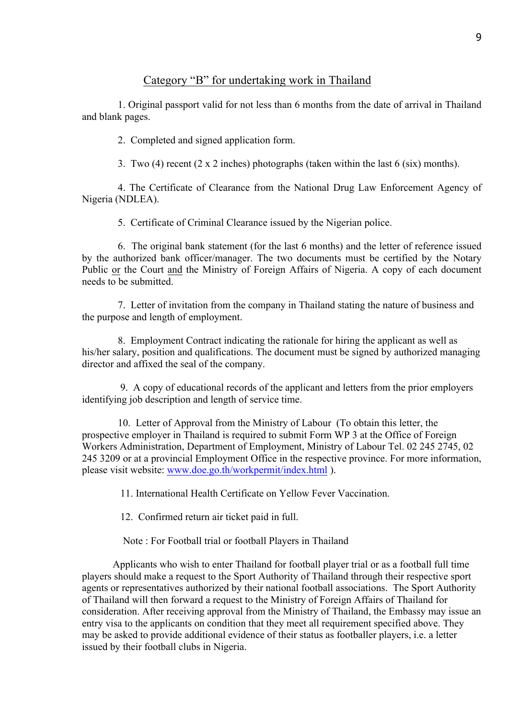### Category "B" for undertaking work in Thailand

1. Original passport valid for not less than 6 months from the date of arrival in Thailand and blank pages.

2. Completed and signed application form.

3. Two (4) recent (2 x 2 inches) photographs (taken within the last 6 (six) months).

4. The Certificate of Clearance from the National Drug Law Enforcement Agency of Nigeria (NDLEA).

5. Certificate of Criminal Clearance issued by the Nigerian police.

6. The original bank statement (for the last 6 months) and the letter of reference issued by the authorized bank officer/manager. The two documents must be certified by the Notary Public or the Court and the Ministry of Foreign Affairs of Nigeria. A copy of each document needs to be submitted.

 7. Letter of invitation from the company in Thailand stating the nature of business and the purpose and length of employment.

 8. Employment Contract indicating the rationale for hiring the applicant as well as his/her salary, position and qualifications. The document must be signed by authorized managing director and affixed the seal of the company.

 9. A copy of educational records of the applicant and letters from the prior employers identifying job description and length of service time.

 10. Letter of Approval from the Ministry of Labour (To obtain this letter, the prospective employer in Thailand is required to submit Form WP 3 at the Office of Foreign Workers Administration, Department of Employment, Ministry of Labour Tel. 02 245 2745, 02 245 3209 or at a provincial Employment Office in the respective province. For more information, please visit website: www.doe.go.th/workpermit/index.html ).

11. International Health Certificate on Yellow Fever Vaccination.

12. Confirmed return air ticket paid in full.

Note : For Football trial or football Players in Thailand

Applicants who wish to enter Thailand for football player trial or as a football full time players should make a request to the Sport Authority of Thailand through their respective sport agents or representatives authorized by their national football associations. The Sport Authority of Thailand will then forward a request to the Ministry of Foreign Affairs of Thailand for consideration. After receiving approval from the Ministry of Thailand, the Embassy may issue an entry visa to the applicants on condition that they meet all requirement specified above. They may be asked to provide additional evidence of their status as footballer players, i.e. a letter issued by their football clubs in Nigeria.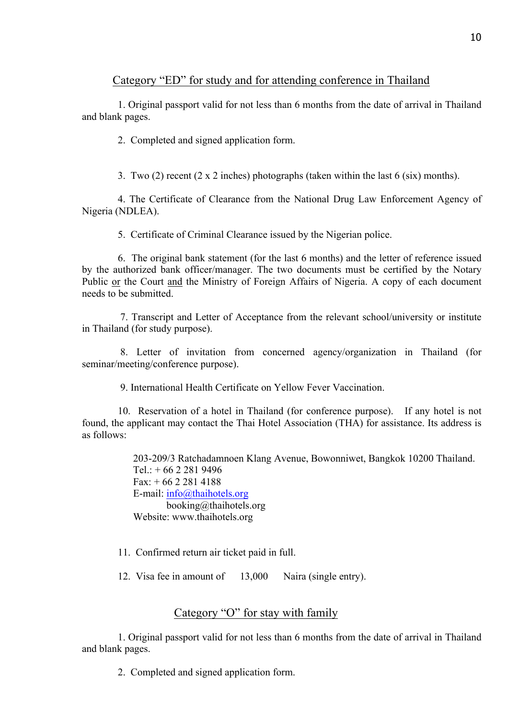## Category "ED" for study and for attending conference in Thailand

1. Original passport valid for not less than 6 months from the date of arrival in Thailand and blank pages.

2. Completed and signed application form.

3. Two (2) recent (2 x 2 inches) photographs (taken within the last 6 (six) months).

4. The Certificate of Clearance from the National Drug Law Enforcement Agency of Nigeria (NDLEA).

5. Certificate of Criminal Clearance issued by the Nigerian police.

6. The original bank statement (for the last 6 months) and the letter of reference issued by the authorized bank officer/manager. The two documents must be certified by the Notary Public or the Court and the Ministry of Foreign Affairs of Nigeria. A copy of each document needs to be submitted.

7. Transcript and Letter of Acceptance from the relevant school/university or institute in Thailand (for study purpose).

8. Letter of invitation from concerned agency/organization in Thailand (for seminar/meeting/conference purpose).

9. International Health Certificate on Yellow Fever Vaccination.

 10. Reservation of a hotel in Thailand (for conference purpose). If any hotel is not found, the applicant may contact the Thai Hotel Association (THA) for assistance. Its address is as follows:

> 203-209/3 Ratchadamnoen Klang Avenue, Bowonniwet, Bangkok 10200 Thailand.  $Tel + 66 2 281 9496$  $Fax: + 6622814188$  E-mail: info@thaihotels.org booking@thaihotels.org Website: www.thaihotels.org

11. Confirmed return air ticket paid in full.

12. Visa fee in amount of 13,000 Naira (single entry).

# Category "O" for stay with family

1. Original passport valid for not less than 6 months from the date of arrival in Thailand and blank pages.

2. Completed and signed application form.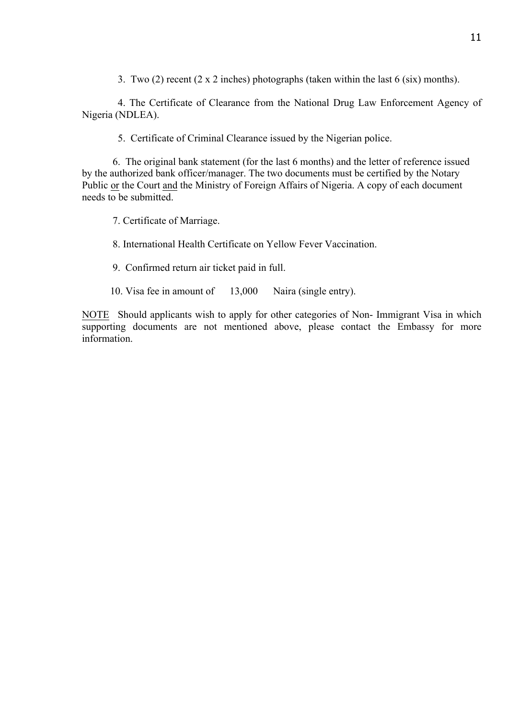3. Two (2) recent (2 x 2 inches) photographs (taken within the last 6 (six) months).

4. The Certificate of Clearance from the National Drug Law Enforcement Agency of Nigeria (NDLEA).

5. Certificate of Criminal Clearance issued by the Nigerian police.

6. The original bank statement (for the last 6 months) and the letter of reference issued by the authorized bank officer/manager. The two documents must be certified by the Notary Public or the Court and the Ministry of Foreign Affairs of Nigeria. A copy of each document needs to be submitted.

7. Certificate of Marriage.

8. International Health Certificate on Yellow Fever Vaccination.

9. Confirmed return air ticket paid in full.

10. Visa fee in amount of 13,000 Naira (single entry).

NOTE Should applicants wish to apply for other categories of Non- Immigrant Visa in which supporting documents are not mentioned above, please contact the Embassy for more information.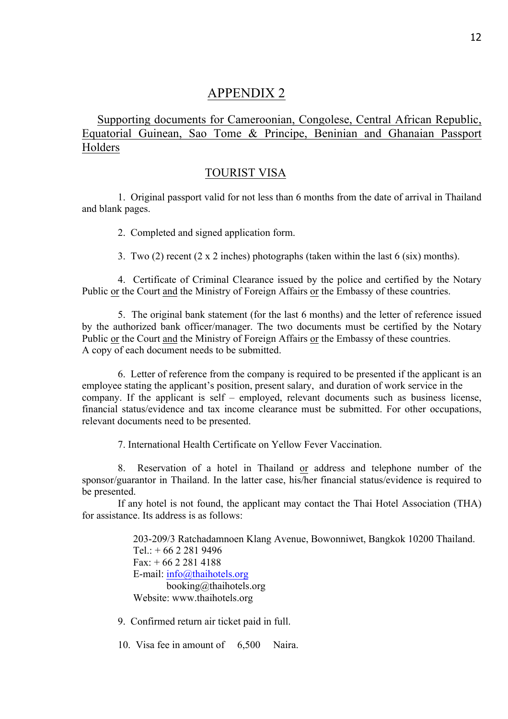# APPENDIX 2

Supporting documents for Cameroonian, Congolese, Central African Republic, Equatorial Guinean, Sao Tome & Principe, Beninian and Ghanaian Passport **Holders** 

### TOURIST VISA

1. Original passport valid for not less than 6 months from the date of arrival in Thailand and blank pages.

2. Completed and signed application form.

3. Two (2) recent (2 x 2 inches) photographs (taken within the last 6 (six) months).

4. Certificate of Criminal Clearance issued by the police and certified by the Notary Public or the Court and the Ministry of Foreign Affairs or the Embassy of these countries.

5. The original bank statement (for the last 6 months) and the letter of reference issued by the authorized bank officer/manager. The two documents must be certified by the Notary Public or the Court and the Ministry of Foreign Affairs or the Embassy of these countries. A copy of each document needs to be submitted.

6. Letter of reference from the company is required to be presented if the applicant is an employee stating the applicant's position, present salary, and duration of work service in the company. If the applicant is self – employed, relevant documents such as business license, financial status/evidence and tax income clearance must be submitted. For other occupations, relevant documents need to be presented.

7. International Health Certificate on Yellow Fever Vaccination.

8. Reservation of a hotel in Thailand or address and telephone number of the sponsor/guarantor in Thailand. In the latter case, his/her financial status/evidence is required to be presented.

If any hotel is not found, the applicant may contact the Thai Hotel Association (THA) for assistance. Its address is as follows:

> 203-209/3 Ratchadamnoen Klang Avenue, Bowonniwet, Bangkok 10200 Thailand.  $Tel: + 66 2 281 9496$  $Fax: + 6622814188$  E-mail: info@thaihotels.org booking@thaihotels.org Website: www.thaihotels.org

9. Confirmed return air ticket paid in full.

10. Visa fee in amount of 6,500 Naira.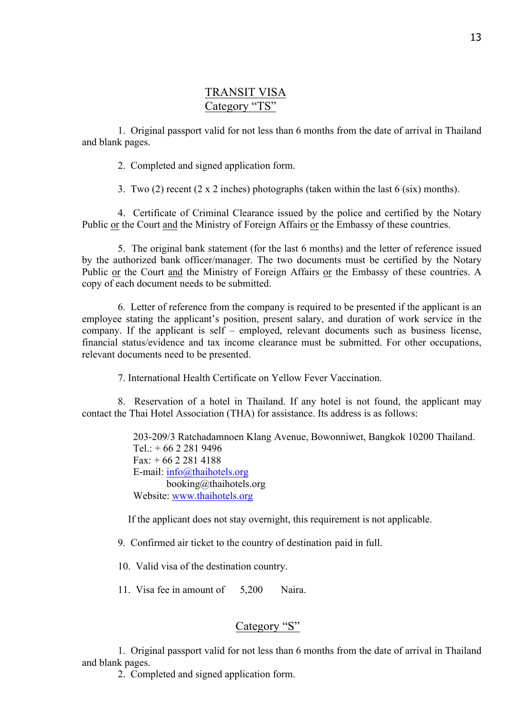## TRANSIT VISA Category "TS"

1. Original passport valid for not less than 6 months from the date of arrival in Thailand and blank pages.

2. Completed and signed application form.

3. Two (2) recent (2 x 2 inches) photographs (taken within the last 6 (six) months).

4. Certificate of Criminal Clearance issued by the police and certified by the Notary Public or the Court and the Ministry of Foreign Affairs or the Embassy of these countries.

5. The original bank statement (for the last 6 months) and the letter of reference issued by the authorized bank officer/manager. The two documents must be certified by the Notary Public or the Court and the Ministry of Foreign Affairs or the Embassy of these countries. A copy of each document needs to be submitted.

6. Letter of reference from the company is required to be presented if the applicant is an employee stating the applicant's position, present salary, and duration of work service in the company. If the applicant is self – employed, relevant documents such as business license, financial status/evidence and tax income clearance must be submitted. For other occupations, relevant documents need to be presented.

7. International Health Certificate on Yellow Fever Vaccination.

8. Reservation of a hotel in Thailand. If any hotel is not found, the applicant may contact the Thai Hotel Association (THA) for assistance. Its address is as follows:

> 203-209/3 Ratchadamnoen Klang Avenue, Bowonniwet, Bangkok 10200 Thailand.  $Tel: + 66 2 281 9496$  $Fax + 6622814188$  E-mail: info@thaihotels.org booking@thaihotels.org Website: www.thaihotels.org

If the applicant does not stay overnight, this requirement is not applicable.

9. Confirmed air ticket to the country of destination paid in full.

10. Valid visa of the destination country.

11. Visa fee in amount of 5,200 Naira.

# Category "S"

1. Original passport valid for not less than 6 months from the date of arrival in Thailand and blank pages.

2. Completed and signed application form.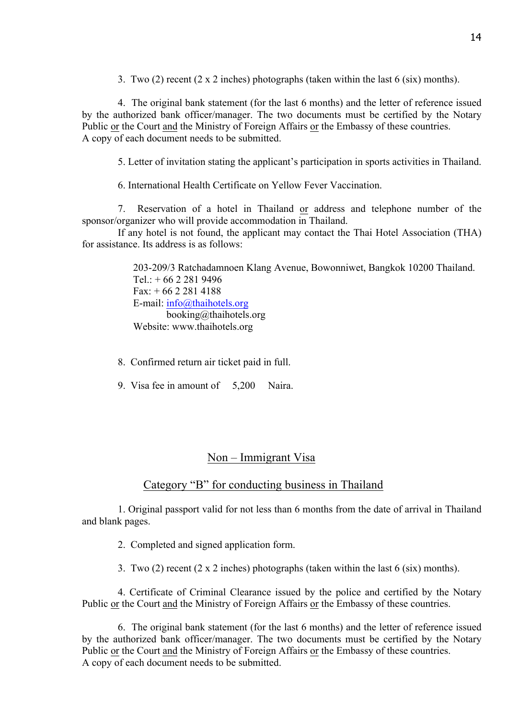3. Two (2) recent (2 x 2 inches) photographs (taken within the last 6 (six) months).

4. The original bank statement (for the last 6 months) and the letter of reference issued by the authorized bank officer/manager. The two documents must be certified by the Notary Public or the Court and the Ministry of Foreign Affairs or the Embassy of these countries. A copy of each document needs to be submitted.

5. Letter of invitation stating the applicant's participation in sports activities in Thailand.

6. International Health Certificate on Yellow Fever Vaccination.

7. Reservation of a hotel in Thailand or address and telephone number of the sponsor/organizer who will provide accommodation in Thailand.

If any hotel is not found, the applicant may contact the Thai Hotel Association (THA) for assistance. Its address is as follows:

> 203-209/3 Ratchadamnoen Klang Avenue, Bowonniwet, Bangkok 10200 Thailand. Tel.: + 66 2 281 9496 Fax: + 66 2 281 4188 E-mail: info@thaihotels.org booking@thaihotels.org Website: www.thaihotels.org

- 8. Confirmed return air ticket paid in full.
- 9. Visa fee in amount of 5,200 Naira.

## Non – Immigrant Visa

### Category "B" for conducting business in Thailand

 1. Original passport valid for not less than 6 months from the date of arrival in Thailand and blank pages.

2. Completed and signed application form.

3. Two (2) recent (2 x 2 inches) photographs (taken within the last 6 (six) months).

4. Certificate of Criminal Clearance issued by the police and certified by the Notary Public or the Court and the Ministry of Foreign Affairs or the Embassy of these countries.

6. The original bank statement (for the last 6 months) and the letter of reference issued by the authorized bank officer/manager. The two documents must be certified by the Notary Public or the Court and the Ministry of Foreign Affairs or the Embassy of these countries. A copy of each document needs to be submitted.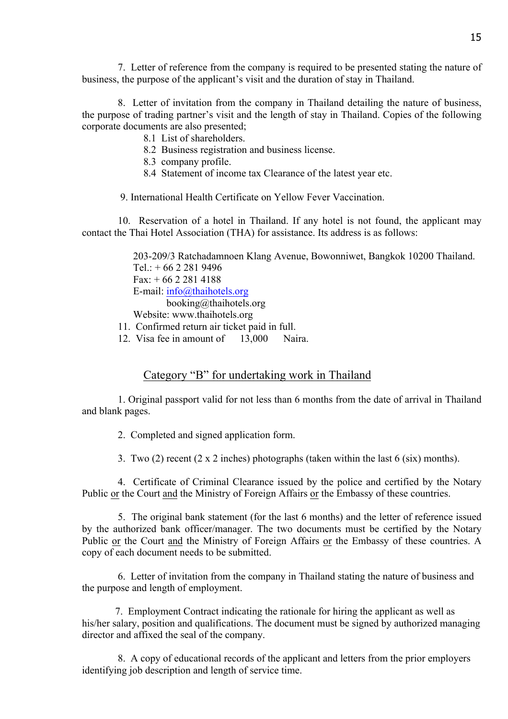7. Letter of reference from the company is required to be presented stating the nature of business, the purpose of the applicant's visit and the duration of stay in Thailand.

8. Letter of invitation from the company in Thailand detailing the nature of business, the purpose of trading partner's visit and the length of stay in Thailand. Copies of the following corporate documents are also presented;

- 8.1 List of shareholders.
- 8.2 Business registration and business license.
- 8.3 company profile.
- 8.4 Statement of income tax Clearance of the latest year etc.
- 9. International Health Certificate on Yellow Fever Vaccination.

 10. Reservation of a hotel in Thailand. If any hotel is not found, the applicant may contact the Thai Hotel Association (THA) for assistance. Its address is as follows:

> 203-209/3 Ratchadamnoen Klang Avenue, Bowonniwet, Bangkok 10200 Thailand.  $Tel + 66 2 281 9496$  $Fax: + 6622814188$  E-mail: info@thaihotels.org booking@thaihotels.org Website: www.thaihotels.org

- 11. Confirmed return air ticket paid in full.
- 12. Visa fee in amount of 13,000 Naira.

## Category "B" for undertaking work in Thailand

1. Original passport valid for not less than 6 months from the date of arrival in Thailand and blank pages.

2. Completed and signed application form.

3. Two (2) recent (2 x 2 inches) photographs (taken within the last 6 (six) months).

4. Certificate of Criminal Clearance issued by the police and certified by the Notary Public or the Court and the Ministry of Foreign Affairs or the Embassy of these countries.

5. The original bank statement (for the last 6 months) and the letter of reference issued by the authorized bank officer/manager. The two documents must be certified by the Notary Public or the Court and the Ministry of Foreign Affairs or the Embassy of these countries. A copy of each document needs to be submitted.

 6. Letter of invitation from the company in Thailand stating the nature of business and the purpose and length of employment.

 7. Employment Contract indicating the rationale for hiring the applicant as well as his/her salary, position and qualifications. The document must be signed by authorized managing director and affixed the seal of the company.

 8. A copy of educational records of the applicant and letters from the prior employers identifying job description and length of service time.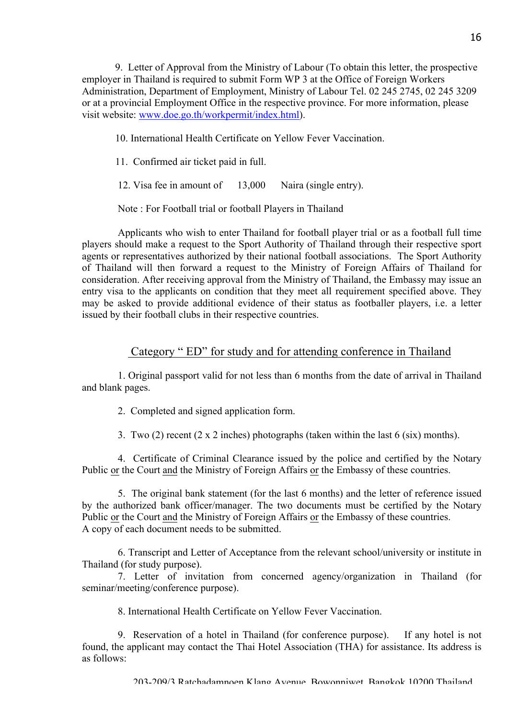9. Letter of Approval from the Ministry of Labour (To obtain this letter, the prospective employer in Thailand is required to submit Form WP 3 at the Office of Foreign Workers Administration, Department of Employment, Ministry of Labour Tel. 02 245 2745, 02 245 3209 or at a provincial Employment Office in the respective province. For more information, please visit website: www.doe.go.th/workpermit/index.html).

10. International Health Certificate on Yellow Fever Vaccination.

11. Confirmed air ticket paid in full.

12. Visa fee in amount of 13,000 Naira (single entry).

Note : For Football trial or football Players in Thailand

Applicants who wish to enter Thailand for football player trial or as a football full time players should make a request to the Sport Authority of Thailand through their respective sport agents or representatives authorized by their national football associations. The Sport Authority of Thailand will then forward a request to the Ministry of Foreign Affairs of Thailand for consideration. After receiving approval from the Ministry of Thailand, the Embassy may issue an entry visa to the applicants on condition that they meet all requirement specified above. They may be asked to provide additional evidence of their status as footballer players, i.e. a letter issued by their football clubs in their respective countries.

### Category " ED" for study and for attending conference in Thailand

1. Original passport valid for not less than 6 months from the date of arrival in Thailand and blank pages.

2. Completed and signed application form.

3. Two (2) recent (2 x 2 inches) photographs (taken within the last 6 (six) months).

4. Certificate of Criminal Clearance issued by the police and certified by the Notary Public or the Court and the Ministry of Foreign Affairs or the Embassy of these countries.

5. The original bank statement (for the last 6 months) and the letter of reference issued by the authorized bank officer/manager. The two documents must be certified by the Notary Public or the Court and the Ministry of Foreign Affairs or the Embassy of these countries. A copy of each document needs to be submitted.

6. Transcript and Letter of Acceptance from the relevant school/university or institute in Thailand (for study purpose).

7. Letter of invitation from concerned agency/organization in Thailand (for seminar/meeting/conference purpose).

8. International Health Certificate on Yellow Fever Vaccination.

 9. Reservation of a hotel in Thailand (for conference purpose). If any hotel is not found, the applicant may contact the Thai Hotel Association (THA) for assistance. Its address is as follows: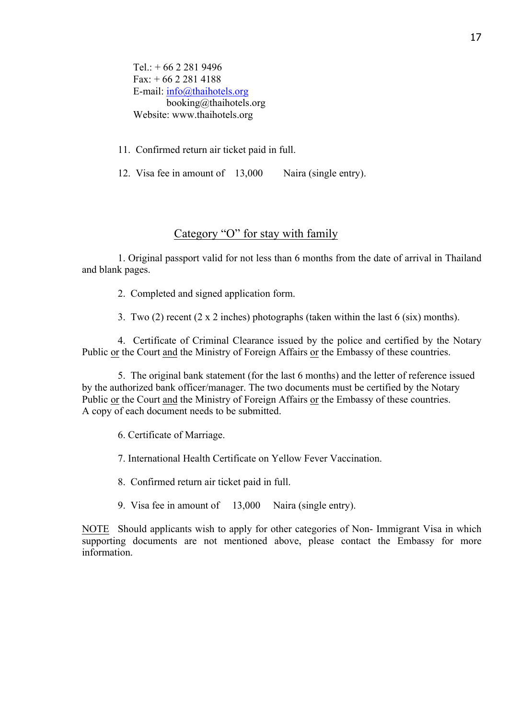$Tel: + 6622819496$  $Fax: + 6622814188$  E-mail: info@thaihotels.org booking@thaihotels.org Website: www.thaihotels.org

11. Confirmed return air ticket paid in full.

12. Visa fee in amount of 13,000 Naira (single entry).

## Category "O" for stay with family

1. Original passport valid for not less than 6 months from the date of arrival in Thailand and blank pages.

2. Completed and signed application form.

3. Two (2) recent (2 x 2 inches) photographs (taken within the last 6 (six) months).

4. Certificate of Criminal Clearance issued by the police and certified by the Notary Public or the Court and the Ministry of Foreign Affairs or the Embassy of these countries.

 5. The original bank statement (for the last 6 months) and the letter of reference issued by the authorized bank officer/manager. The two documents must be certified by the Notary Public or the Court and the Ministry of Foreign Affairs or the Embassy of these countries. A copy of each document needs to be submitted.

6. Certificate of Marriage.

7. International Health Certificate on Yellow Fever Vaccination.

8. Confirmed return air ticket paid in full.

9. Visa fee in amount of 13,000 Naira (single entry).

NOTE Should applicants wish to apply for other categories of Non- Immigrant Visa in which supporting documents are not mentioned above, please contact the Embassy for more information.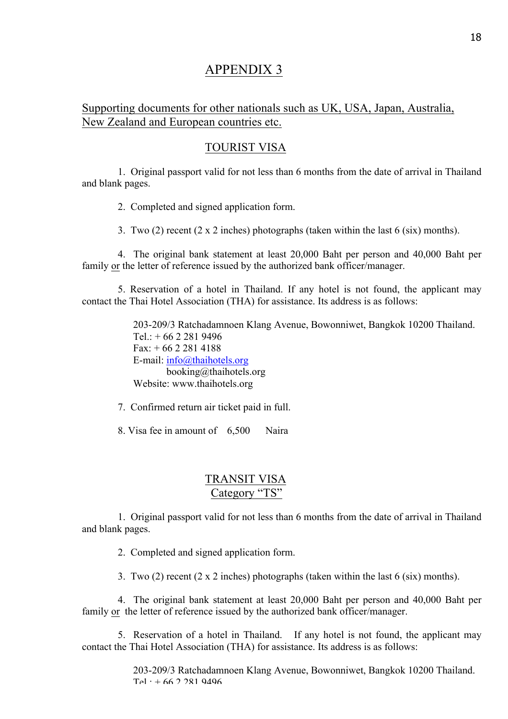# APPENDIX 3

## Supporting documents for other nationals such as UK, USA, Japan, Australia, New Zealand and European countries etc.

## TOURIST VISA

1. Original passport valid for not less than 6 months from the date of arrival in Thailand and blank pages.

2. Completed and signed application form.

3. Two (2) recent (2 x 2 inches) photographs (taken within the last 6 (six) months).

4. The original bank statement at least 20,000 Baht per person and 40,000 Baht per family or the letter of reference issued by the authorized bank officer/manager.

5. Reservation of a hotel in Thailand. If any hotel is not found, the applicant may contact the Thai Hotel Association (THA) for assistance. Its address is as follows:

> 203-209/3 Ratchadamnoen Klang Avenue, Bowonniwet, Bangkok 10200 Thailand.  $Tel: + 66 2 281 9496$  $Fax: + 6622814188$  E-mail: info@thaihotels.org booking@thaihotels.org Website: www.thaihotels.org

7. Confirmed return air ticket paid in full.

8. Visa fee in amount of 6,500 Naira

## TRANSIT VISA Category "TS"

1. Original passport valid for not less than 6 months from the date of arrival in Thailand and blank pages.

2. Completed and signed application form.

3. Two (2) recent (2 x 2 inches) photographs (taken within the last 6 (six) months).

4. The original bank statement at least 20,000 Baht per person and 40,000 Baht per family or the letter of reference issued by the authorized bank officer/manager.

5. Reservation of a hotel in Thailand. If any hotel is not found, the applicant may contact the Thai Hotel Association (THA) for assistance. Its address is as follows:

> 203-209/3 Ratchadamnoen Klang Avenue, Bowonniwet, Bangkok 10200 Thailand.  $Tel + 66 2 281 9496$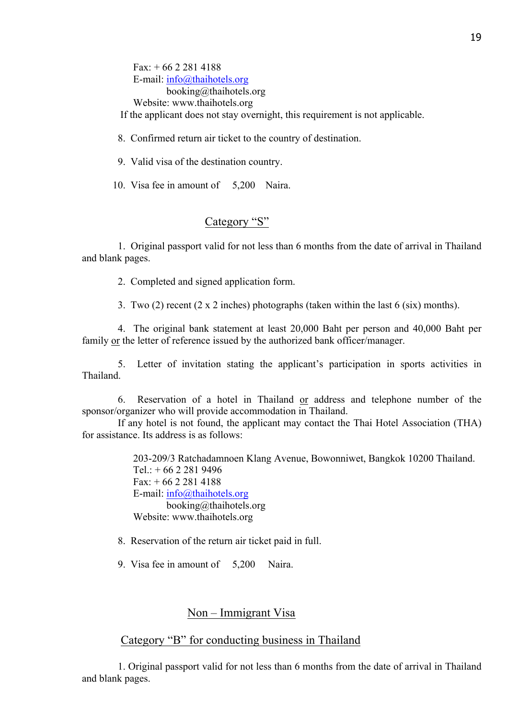$Fax: + 6622814188$  E-mail: info@thaihotels.org booking@thaihotels.org

Website: www.thaihotels.org

If the applicant does not stay overnight, this requirement is not applicable.

8. Confirmed return air ticket to the country of destination.

9. Valid visa of the destination country.

10. Visa fee in amount of 5,200 Naira.

## Category "S"

1. Original passport valid for not less than 6 months from the date of arrival in Thailand and blank pages.

2. Completed and signed application form.

3. Two (2) recent (2 x 2 inches) photographs (taken within the last 6 (six) months).

4. The original bank statement at least 20,000 Baht per person and 40,000 Baht per family or the letter of reference issued by the authorized bank officer/manager.

5. Letter of invitation stating the applicant's participation in sports activities in Thailand.

6. Reservation of a hotel in Thailand or address and telephone number of the sponsor/organizer who will provide accommodation in Thailand.

If any hotel is not found, the applicant may contact the Thai Hotel Association (THA) for assistance. Its address is as follows:

> 203-209/3 Ratchadamnoen Klang Avenue, Bowonniwet, Bangkok 10200 Thailand.  $Tel + 66 2 281 9496$  $Fax: + 6622814188$  E-mail: info@thaihotels.org booking@thaihotels.org Website: www.thaihotels.org

8. Reservation of the return air ticket paid in full.

9. Visa fee in amount of 5,200 Naira.

### Non – Immigrant Visa

### Category "B" for conducting business in Thailand

 1. Original passport valid for not less than 6 months from the date of arrival in Thailand and blank pages.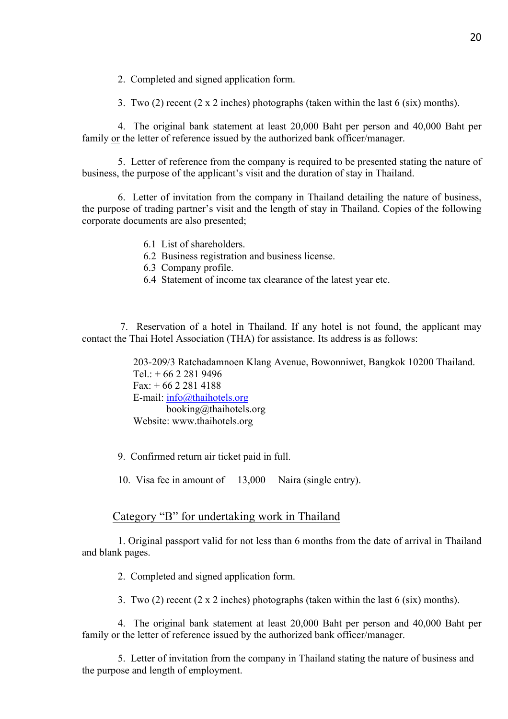2. Completed and signed application form.

3. Two (2) recent (2 x 2 inches) photographs (taken within the last 6 (six) months).

4. The original bank statement at least 20,000 Baht per person and 40,000 Baht per family or the letter of reference issued by the authorized bank officer/manager.

5. Letter of reference from the company is required to be presented stating the nature of business, the purpose of the applicant's visit and the duration of stay in Thailand.

6. Letter of invitation from the company in Thailand detailing the nature of business, the purpose of trading partner's visit and the length of stay in Thailand. Copies of the following corporate documents are also presented;

- 6.1 List of shareholders.
- 6.2 Business registration and business license.
- 6.3 Company profile.
- 6.4 Statement of income tax clearance of the latest year etc.

 7. Reservation of a hotel in Thailand. If any hotel is not found, the applicant may contact the Thai Hotel Association (THA) for assistance. Its address is as follows:

> 203-209/3 Ratchadamnoen Klang Avenue, Bowonniwet, Bangkok 10200 Thailand.  $Tel + 6622819496$ Fax:  $+ 6622814188$  E-mail: info@thaihotels.org booking@thaihotels.org Website: www.thaihotels.org

9. Confirmed return air ticket paid in full.

10. Visa fee in amount of 13,000 Naira (single entry).

#### Category "B" for undertaking work in Thailand

1. Original passport valid for not less than 6 months from the date of arrival in Thailand and blank pages.

2. Completed and signed application form.

3. Two (2) recent (2 x 2 inches) photographs (taken within the last 6 (six) months).

4. The original bank statement at least 20,000 Baht per person and 40,000 Baht per family or the letter of reference issued by the authorized bank officer/manager.

 5. Letter of invitation from the company in Thailand stating the nature of business and the purpose and length of employment.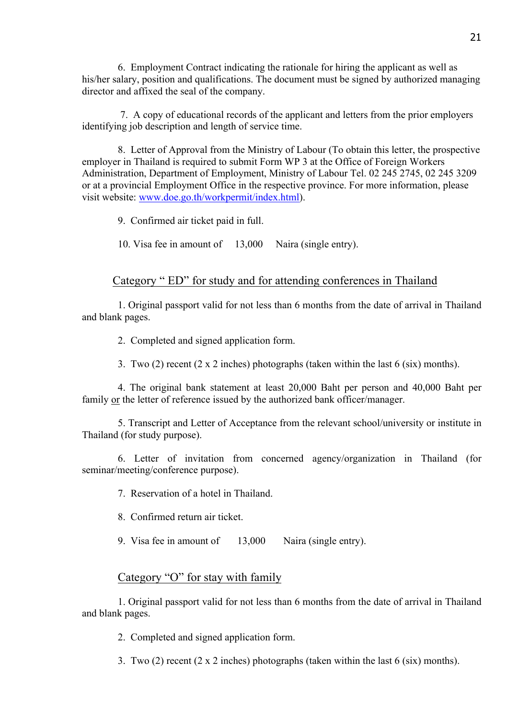6. Employment Contract indicating the rationale for hiring the applicant as well as his/her salary, position and qualifications. The document must be signed by authorized managing director and affixed the seal of the company.

 7. A copy of educational records of the applicant and letters from the prior employers identifying job description and length of service time.

 8. Letter of Approval from the Ministry of Labour (To obtain this letter, the prospective employer in Thailand is required to submit Form WP 3 at the Office of Foreign Workers Administration, Department of Employment, Ministry of Labour Tel. 02 245 2745, 02 245 3209 or at a provincial Employment Office in the respective province. For more information, please visit website: www.doe.go.th/workpermit/index.html).

9. Confirmed air ticket paid in full.

10. Visa fee in amount of 13,000 Naira (single entry).

### Category " ED" for study and for attending conferences in Thailand

1. Original passport valid for not less than 6 months from the date of arrival in Thailand and blank pages.

2. Completed and signed application form.

3. Two (2) recent (2 x 2 inches) photographs (taken within the last 6 (six) months).

4. The original bank statement at least 20,000 Baht per person and 40,000 Baht per family or the letter of reference issued by the authorized bank officer/manager.

5. Transcript and Letter of Acceptance from the relevant school/university or institute in Thailand (for study purpose).

6. Letter of invitation from concerned agency/organization in Thailand (for seminar/meeting/conference purpose).

7. Reservation of a hotel in Thailand.

8. Confirmed return air ticket.

9. Visa fee in amount of 13,000 Naira (single entry).

#### Category "O" for stay with family

1. Original passport valid for not less than 6 months from the date of arrival in Thailand and blank pages.

2. Completed and signed application form.

3. Two (2) recent (2 x 2 inches) photographs (taken within the last 6 (six) months).